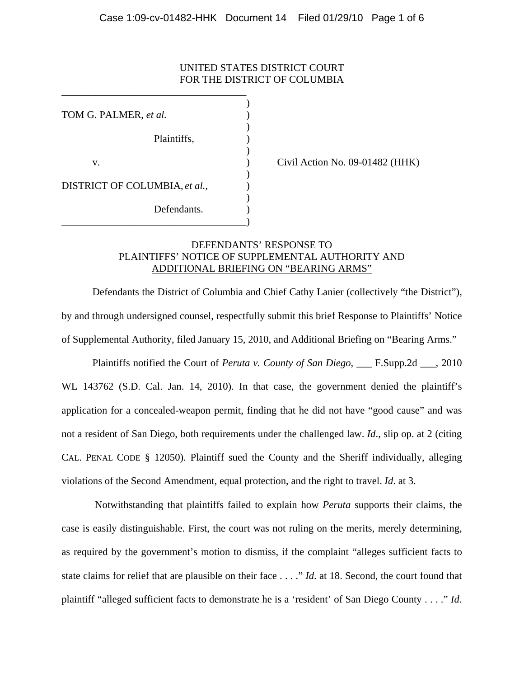## UNITED STATES DISTRICT COURT FOR THE DISTRICT OF COLUMBIA

 $)$ TOM G. PALMER, *et al.* )  $\overline{\phantom{a}}$ Plaintiffs, )  $\overline{\phantom{a}}$ v. (a) Civil Action No. 09-01482 (HHK)  $\overline{\phantom{a}}$ DISTRICT OF COLUMBIA, *et al.*, )  $\overline{\phantom{a}}$ Defendants. \_\_\_\_\_\_\_\_\_\_\_\_\_\_\_\_\_\_\_\_\_\_\_\_\_\_\_\_\_\_\_\_\_\_\_\_)

\_\_\_\_\_\_\_\_\_\_\_\_\_\_\_\_\_\_\_\_\_\_\_\_\_\_\_\_\_\_\_\_\_\_\_\_

# DEFENDANTS' RESPONSE TO PLAINTIFFS' NOTICE OF SUPPLEMENTAL AUTHORITY AND ADDITIONAL BRIEFING ON "BEARING ARMS"

Defendants the District of Columbia and Chief Cathy Lanier (collectively "the District"), by and through undersigned counsel, respectfully submit this brief Response to Plaintiffs' Notice of Supplemental Authority, filed January 15, 2010, and Additional Briefing on "Bearing Arms."

 Plaintiffs notified the Court of *Peruta v. County of San Diego*, \_\_\_ F.Supp.2d \_\_\_, 2010 WL 143762 (S.D. Cal. Jan. 14, 2010). In that case, the government denied the plaintiff's application for a concealed-weapon permit, finding that he did not have "good cause" and was not a resident of San Diego, both requirements under the challenged law. *Id*., slip op. at 2 (citing CAL. PENAL CODE § 12050). Plaintiff sued the County and the Sheriff individually, alleging violations of the Second Amendment, equal protection, and the right to travel. *Id*. at 3.

 Notwithstanding that plaintiffs failed to explain how *Peruta* supports their claims, the case is easily distinguishable. First, the court was not ruling on the merits, merely determining, as required by the government's motion to dismiss, if the complaint "alleges sufficient facts to state claims for relief that are plausible on their face . . . ." *Id*. at 18. Second, the court found that plaintiff "alleged sufficient facts to demonstrate he is a 'resident' of San Diego County . . . ." *Id*.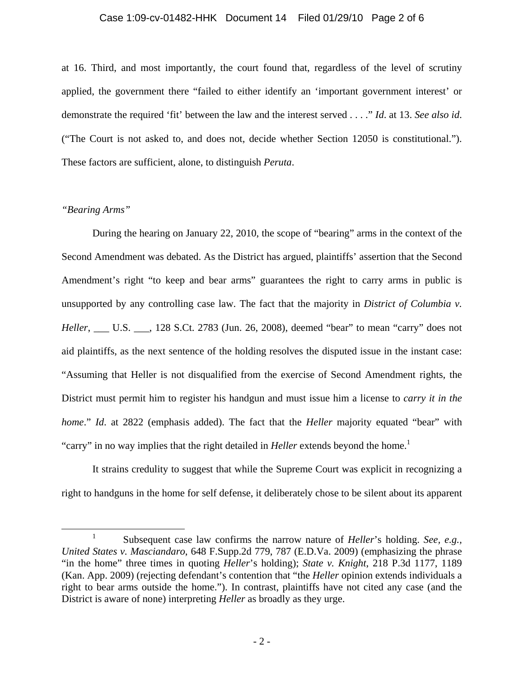#### Case 1:09-cv-01482-HHK Document 14 Filed 01/29/10 Page 2 of 6

at 16. Third, and most importantly, the court found that, regardless of the level of scrutiny applied, the government there "failed to either identify an 'important government interest' or demonstrate the required 'fit' between the law and the interest served . . . ." *Id*. at 13. *See also id*. ("The Court is not asked to, and does not, decide whether Section 12050 is constitutional."). These factors are sufficient, alone, to distinguish *Peruta*.

## *"Bearing Arms"*

During the hearing on January 22, 2010, the scope of "bearing" arms in the context of the Second Amendment was debated. As the District has argued, plaintiffs' assertion that the Second Amendment's right "to keep and bear arms" guarantees the right to carry arms in public is unsupported by any controlling case law. The fact that the majority in *District of Columbia v. Heller*, \_\_\_ U.S. \_\_\_, 128 S.Ct. 2783 (Jun. 26, 2008), deemed "bear" to mean "carry" does not aid plaintiffs, as the next sentence of the holding resolves the disputed issue in the instant case: "Assuming that Heller is not disqualified from the exercise of Second Amendment rights, the District must permit him to register his handgun and must issue him a license to *carry it in the home*." *Id*. at 2822 (emphasis added). The fact that the *Heller* majority equated "bear" with "carry" in no way implies that the right detailed in *Heller* extends beyond the home.<sup>1</sup>

It strains credulity to suggest that while the Supreme Court was explicit in recognizing a right to handguns in the home for self defense, it deliberately chose to be silent about its apparent

 $\frac{1}{1}$  Subsequent case law confirms the narrow nature of *Heller*'s holding. *See, e.g., United States v. Masciandaro*, 648 F.Supp.2d 779, 787 (E.D.Va. 2009) (emphasizing the phrase "in the home" three times in quoting *Heller*'s holding); *State v. Knight*, 218 P.3d 1177, 1189 (Kan. App. 2009) (rejecting defendant's contention that "the *Heller* opinion extends individuals a right to bear arms outside the home."). In contrast, plaintiffs have not cited any case (and the District is aware of none) interpreting *Heller* as broadly as they urge.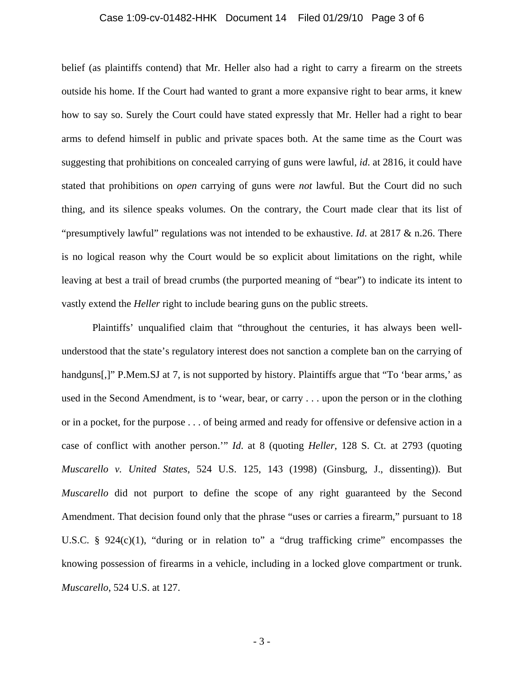#### Case 1:09-cv-01482-HHK Document 14 Filed 01/29/10 Page 3 of 6

belief (as plaintiffs contend) that Mr. Heller also had a right to carry a firearm on the streets outside his home. If the Court had wanted to grant a more expansive right to bear arms, it knew how to say so. Surely the Court could have stated expressly that Mr. Heller had a right to bear arms to defend himself in public and private spaces both. At the same time as the Court was suggesting that prohibitions on concealed carrying of guns were lawful, *id*. at 2816, it could have stated that prohibitions on *open* carrying of guns were *not* lawful. But the Court did no such thing, and its silence speaks volumes. On the contrary, the Court made clear that its list of "presumptively lawful" regulations was not intended to be exhaustive. *Id*. at 2817 & n.26. There is no logical reason why the Court would be so explicit about limitations on the right, while leaving at best a trail of bread crumbs (the purported meaning of "bear") to indicate its intent to vastly extend the *Heller* right to include bearing guns on the public streets.

Plaintiffs' unqualified claim that "throughout the centuries, it has always been wellunderstood that the state's regulatory interest does not sanction a complete ban on the carrying of handguns[,]" P.Mem.SJ at 7, is not supported by history. Plaintiffs argue that "To 'bear arms,' as used in the Second Amendment, is to 'wear, bear, or carry . . . upon the person or in the clothing or in a pocket, for the purpose . . . of being armed and ready for offensive or defensive action in a case of conflict with another person.'" *Id*. at 8 (quoting *Heller*, 128 S. Ct. at 2793 (quoting *Muscarello v. United States*, 524 U.S. 125, 143 (1998) (Ginsburg, J., dissenting)). But *Muscarello* did not purport to define the scope of any right guaranteed by the Second Amendment. That decision found only that the phrase "uses or carries a firearm," pursuant to 18 U.S.C. § 924(c)(1), "during or in relation to" a "drug trafficking crime" encompasses the knowing possession of firearms in a vehicle, including in a locked glove compartment or trunk. *Muscarello*, 524 U.S. at 127.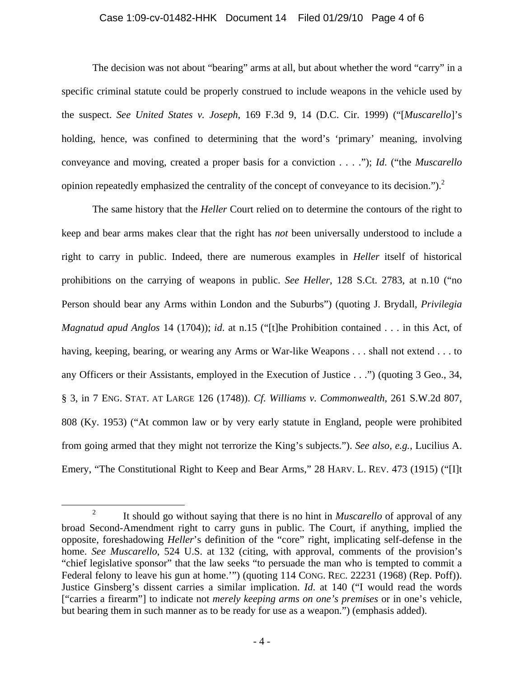### Case 1:09-cv-01482-HHK Document 14 Filed 01/29/10 Page 4 of 6

The decision was not about "bearing" arms at all, but about whether the word "carry" in a specific criminal statute could be properly construed to include weapons in the vehicle used by the suspect. *See United States v. Joseph*, 169 F.3d 9, 14 (D.C. Cir. 1999) ("[*Muscarello*]'s holding, hence, was confined to determining that the word's 'primary' meaning, involving conveyance and moving, created a proper basis for a conviction . . . ."); *Id*. ("the *Muscarello* opinion repeatedly emphasized the centrality of the concept of conveyance to its decision.").2

The same history that the *Heller* Court relied on to determine the contours of the right to keep and bear arms makes clear that the right has *not* been universally understood to include a right to carry in public. Indeed, there are numerous examples in *Heller* itself of historical prohibitions on the carrying of weapons in public. *See Heller*, 128 S.Ct. 2783, at n.10 ("no Person should bear any Arms within London and the Suburbs") (quoting J. Brydall, *Privilegia Magnatud apud Anglos* 14 (1704)); *id*. at n.15 ("[t]he Prohibition contained . . . in this Act, of having, keeping, bearing, or wearing any Arms or War-like Weapons . . . shall not extend . . . to any Officers or their Assistants, employed in the Execution of Justice . . .") (quoting 3 Geo., 34, § 3, in 7 ENG. STAT. AT LARGE 126 (1748)). *Cf. Williams v. Commonwealth*, 261 S.W.2d 807, 808 (Ky. 1953) ("At common law or by very early statute in England, people were prohibited from going armed that they might not terrorize the King's subjects."). *See also, e.g.*, Lucilius A. Emery, "The Constitutional Right to Keep and Bear Arms," 28 HARV. L. REV. 473 (1915) ("[I]t

 <sup>2</sup> It should go without saying that there is no hint in *Muscarello* of approval of any broad Second-Amendment right to carry guns in public. The Court, if anything, implied the opposite, foreshadowing *Heller*'s definition of the "core" right, implicating self-defense in the home. *See Muscarello*, 524 U.S. at 132 (citing, with approval, comments of the provision's "chief legislative sponsor" that the law seeks "to persuade the man who is tempted to commit a Federal felony to leave his gun at home.'") (quoting 114 CONG. REC. 22231 (1968) (Rep. Poff)). Justice Ginsberg's dissent carries a similar implication. *Id*. at 140 ("I would read the words ["carries a firearm"] to indicate not *merely keeping arms on one's premises* or in one's vehicle, but bearing them in such manner as to be ready for use as a weapon.") (emphasis added).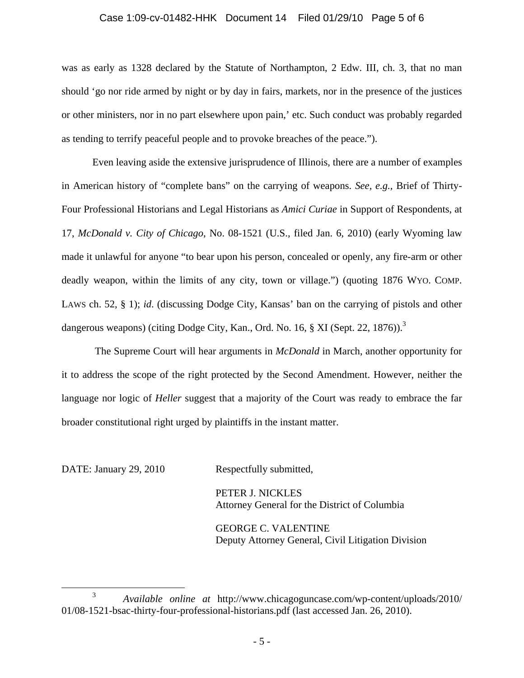### Case 1:09-cv-01482-HHK Document 14 Filed 01/29/10 Page 5 of 6

was as early as 1328 declared by the Statute of Northampton, 2 Edw. III, ch. 3, that no man should 'go nor ride armed by night or by day in fairs, markets, nor in the presence of the justices or other ministers, nor in no part elsewhere upon pain,' etc. Such conduct was probably regarded as tending to terrify peaceful people and to provoke breaches of the peace.").

Even leaving aside the extensive jurisprudence of Illinois, there are a number of examples in American history of "complete bans" on the carrying of weapons. *See, e.g.,* Brief of Thirty-Four Professional Historians and Legal Historians as *Amici Curiae* in Support of Respondents, at 17, *McDonald v. City of Chicago*, No. 08-1521 (U.S., filed Jan. 6, 2010) (early Wyoming law made it unlawful for anyone "to bear upon his person, concealed or openly, any fire-arm or other deadly weapon, within the limits of any city, town or village.") (quoting 1876 WYO. COMP. LAWS ch. 52, § 1); *id*. (discussing Dodge City, Kansas' ban on the carrying of pistols and other dangerous weapons) (citing Dodge City, Kan., Ord. No. 16, § XI (Sept. 22, 1876)).<sup>3</sup>

 The Supreme Court will hear arguments in *McDonald* in March, another opportunity for it to address the scope of the right protected by the Second Amendment. However, neither the language nor logic of *Heller* suggest that a majority of the Court was ready to embrace the far broader constitutional right urged by plaintiffs in the instant matter.

DATE: January 29, 2010 Respectfully submitted,

 PETER J. NICKLES Attorney General for the District of Columbia

 GEORGE C. VALENTINE Deputy Attorney General, Civil Litigation Division

 <sup>3</sup> *Available online at* http://www.chicagoguncase.com/wp-content/uploads/2010/ 01/08-1521-bsac-thirty-four-professional-historians.pdf (last accessed Jan. 26, 2010).